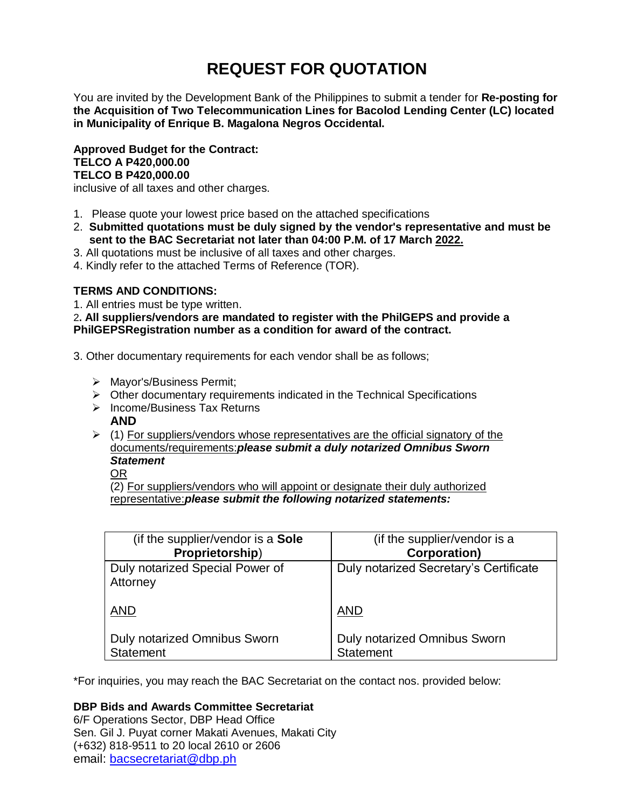# **REQUEST FOR QUOTATION**

You are invited by the Development Bank of the Philippines to submit a tender for **Re-posting for the Acquisition of Two Telecommunication Lines for Bacolod Lending Center (LC) located in Municipality of Enrique B. Magalona Negros Occidental.**

**Approved Budget for the Contract: TELCO A P420,000.00 TELCO B P420,000.00**

inclusive of all taxes and other charges.

- 1. Please quote your lowest price based on the attached specifications
- 2. **Submitted quotations must be duly signed by the vendor's representative and must be sent to the BAC Secretariat not later than 04:00 P.M. of 17 March 2022.**
- 3. All quotations must be inclusive of all taxes and other charges.
- 4. Kindly refer to the attached Terms of Reference (TOR).

# **TERMS AND CONDITIONS:**

1. All entries must be type written.

2**. All suppliers/vendors are mandated to register with the PhilGEPS and provide a PhilGEPSRegistration number as a condition for award of the contract.**

- 3. Other documentary requirements for each vendor shall be as follows;
	- > Mayor's/Business Permit;
	- $\triangleright$  Other documentary requirements indicated in the Technical Specifications
	- $\triangleright$  Income/Business Tax Returns **AND**
	- $(1)$  For suppliers/vendors whose representatives are the official signatory of the documents/requirements:*please submit a duly notarized Omnibus Sworn Statement*

OR

(2) For suppliers/vendors who will appoint or designate their duly authorized representative:*please submit the following notarized statements:*

| (if the supplier/vendor is a Sole           | (if the supplier/vendor is a           |
|---------------------------------------------|----------------------------------------|
| Proprietorship)                             | <b>Corporation)</b>                    |
| Duly notarized Special Power of<br>Attorney | Duly notarized Secretary's Certificate |
| <b>AND</b>                                  | <b>AND</b>                             |
| <b>Duly notarized Omnibus Sworn</b>         | Duly notarized Omnibus Sworn           |
| <b>Statement</b>                            | <b>Statement</b>                       |

\*For inquiries, you may reach the BAC Secretariat on the contact nos. provided below:

# **DBP Bids and Awards Committee Secretariat**

6/F Operations Sector, DBP Head Office Sen. Gil J. Puyat corner Makati Avenues, Makati City (+632) 818-9511 to 20 local 2610 or 2606 email: [bacsecretariat@dbp.ph](mailto:bacsecretariat@dbp.ph)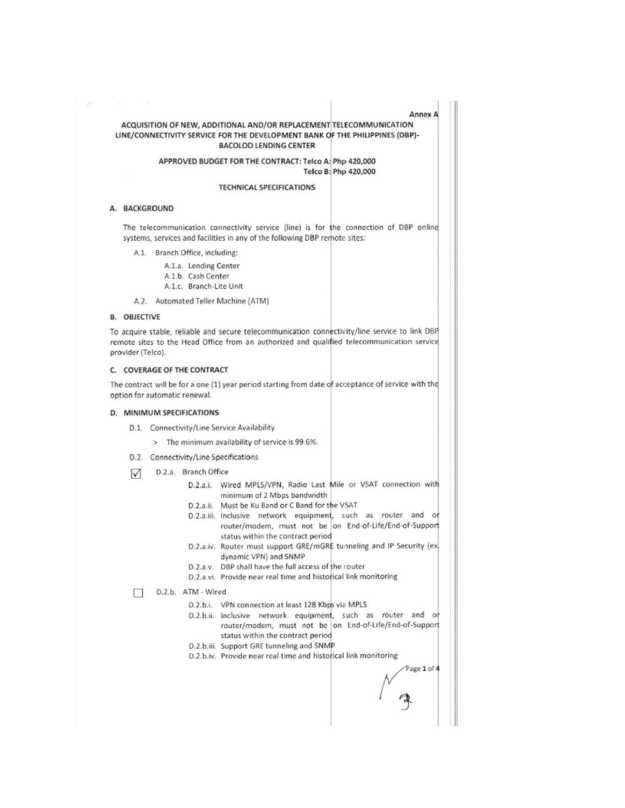#### Annex A

#### ACQUISITION OF NEW, ADDITIONAL AND/OR REPLACEMENT TELECOMMUNICATION LINE/CONNECTIVITY SERVICE FOR THE DEVELOPMENT BANK OF THE PHILIPPINES (DBP)-**BACOLOD LENDING CENTER**

#### APPROVED BUDGET FOR THE CONTRACT: Telco A: Php 420,000 Telco B: Php 420,000

#### **TECHNICAL SPECIFICATIONS**

### A. BACKGROUND

 $\mathcal{F}^{\mathcal{F}}$ 

The telecommunication connectivity service (line) is for the connection of DBP online systems, services and facilities in any of the following DBP remote sites:

- A.1. Branch Office, including:
	- A.1.a. Lending Center
	- A.1.b. Cash Center
	- A.1.c. Branch-Lite Unit
- A.2. Automated Teller Machine (ATM)

#### **B. OBJECTIVE**

To acquire stable, reliable and secure telecommunication connectivity/line service to link DBP remote sites to the Head Office from an authorized and qualified telecommunication service provider (Telco).

#### C. COVERAGE OF THE CONTRACT

The contract will be for a one (1) year period starting from date of acceptance of service with the option for automatic renewal.

#### D. MINIMUM SPECIFICATIONS

- D.1. Connectivity/Line Service Availability
	- > The minimum availability of service is 99.6%.
- D.2. Connectivity/Line Specifications
- D.2.a. Branch Office М
	- D.2.a.i. Wired MPLS/VPN, Radio Last Mile or VSAT connection with minimum of 2 Mbps bandwidth
		- D.2.a.ii. Must be Ku Band or C Band for the VSAT
		- D.2.a.iii. Inclusive network equipment, such as router and or router/modem, must not be on End-of-Life/End-of-Support status within the contract period
		- D.2.a.iv. Router must support GRE/mGRE tunneling and IP Security (ex. dynamic VPN) and SNMP
		- D.2.a.v. DBP shall have the full access of the router
		- D.2.a.vi. Provide near real time and historical link monitoring
- D.2.b. ATM Wired П.
	- D.2.b.i. VPN connection at least 128 Kbps via MPLS
	- D.2.b.ii. Inclusive network equipment, such as router and or router/modem, must not be on End-of-Life/End-of-Support status within the contract period
	- D.2.b.iii. Support GRE tunneling and SNMP
	- D.2.b.iv. Provide near real time and historical link monitoring

 $P$ age 1 of 4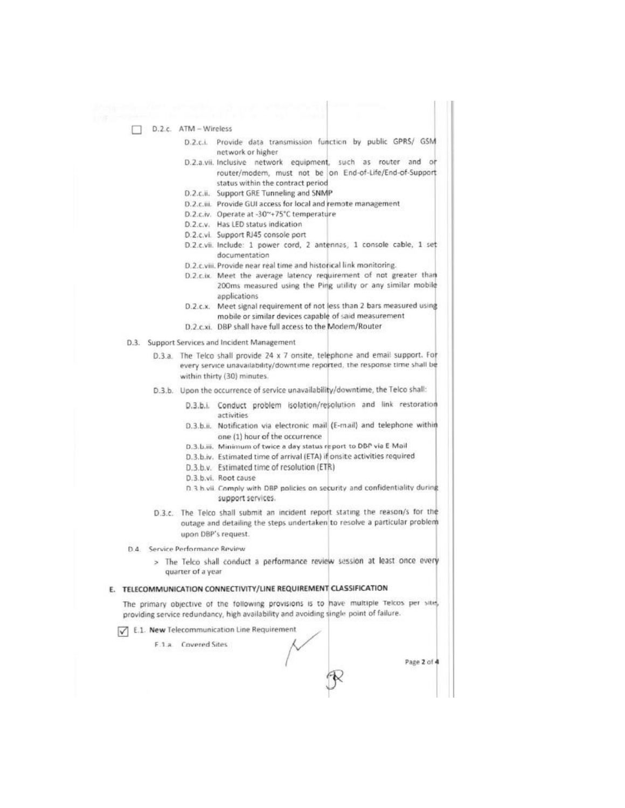D.2.c. ATM - Wireless

- D.2.c.i. Provide data transmission function by public GPRS/ GSM network or higher
- D.2.a.vii. Inclusive network equipment, such as router and or router/modem, must not be on End-of-Life/End-of-Support status within the contract period
- D.2.c.ii. Support GRE Tunneling and SNMP
- D.2.c.iii. Provide GUI access for local and remote management
- D.2.c.iv. Operate at -30~+75°C temperature
- D.2.c.v. Has LED status indication
- D.2.c.vi. Support RJ45 console port
- D.2.c.vii. Include: 1 power cord, 2 antennas, 1 console cable, 1 set documentation
- D.2.c.viii. Provide near real time and historical link monitoring.
- D.2.c.ix. Meet the average latency requirement of not greater than
	- 200ms measured using the Ping utility or any similar mobile applications
- D.2.c.x. Meet signal requirement of not less than 2 bars measured using mobile or similar devices capable of said measurement
- D.2.c.xi. DBP shall have full access to the Modem/Router
- D.3. Support Services and Incident Management
	- D.3.a. The Telco shall provide 24 x 7 onsite, telephone and email support. For every service unavailability/downtime reported, the response time shall be within thirty (30) minutes.
	- D.3.b. Upon the occurrence of service unavailability/downtime, the Telco shall:
		- D.3.b.i. Conduct problem isolation/resolution and link restoration activities
		- D.3.b.ii. Notification via electronic mail (E-mail) and telephone within one (1) hour of the occurrence
		- D.3.b.iii. Minimum of twice a day status report to DBP via E Mail
		- D.3.b.iv. Estimated time of arrival (ETA) if onsite activities required
		- D.3.b.v. Estimated time of resolution (ETR)
		- D.3.b.vi. Root cause
		- D.3 b.vii. Comply with DBP policies on security and confidentiality during support services.
	- D.3.c. The Telco shall submit an incident report stating the reason/s for the outage and detailing the steps undertaken to resolve a particular problem upon DBP's request.

D.4. Service Performance Review

> The Telco shall conduct a performance review session at least once every quarter of a year

#### E. TELECOMMUNICATION CONNECTIVITY/LINE REQUIREMENT CLASSIFICATION

The primary objective of the following provisions is to have multiple Telcos per site, providing service redundancy, high availability and avoiding single point of failure.

E.1. New Telecommunication Line Requirement

F.1.a. Covered Sites

Page 2 of 4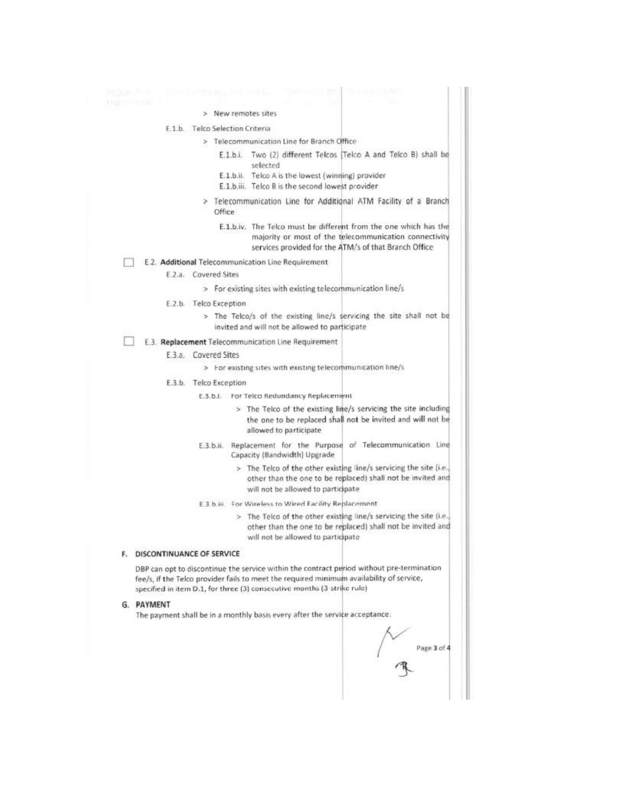#### > New remotes sites

#### E.1.b. Telco Selection Criteria

> Telecommunication Line for Branch Office

- E.1.b.i. Two (2) different Telcos [Telco A and Telco B) shall be selected
- E.1.b.ii. Telco A is the lowest (winning) provider
- E.1.b.iii. Telco B is the second lowest provider
- > Telecommunication Line for Additional ATM Facility of a Branch Office
	- E.1.b.iv. The Telco must be different from the one which has the majority or most of the telecommunication connectivity services provided for the ATM/s of that Branch Office

#### п E.2. Additional Telecommunication Line Requirement

E.2.a. Covered Sites

> For existing sites with existing telecommunication line/s

- E.2.b. Telco Exception
	- > The Telco/s of the existing line/s servicing the site shall not be invited and will not be allowed to participate

#### E.3. Replacement Telecommunication Line Requirement

#### E.3.a. Covered Sites

> For existing sites with existing telecommunication line/s

- E.3.b. Telco Exception
	- E.3.b.I. For Telco Redundancy Replacement
		- > The Telco of the existing line/s servicing the site including the one to be replaced shall not be invited and will not be allowed to participate
	- E.3.b.ii. Replacement for the Purpose of Telecommunication Line Capacity (Bandwidth) Upgrade
		- > The Telco of the other existing line/s servicing the site (i.e. other than the one to be replaced) shall not be invited and will not be allowed to participate
	- E.3.b.iii. For Wireless to Wired Facility Replacement
		- > The Telco of the other existing line/s servicing the site (i.e. other than the one to be replaced) shall not be invited and will not be allowed to participate

#### F. DISCONTINUANCE OF SERVICE

DBP can opt to discontinue the service within the contract period without pre-termination fee/s, if the Telco provider fails to meet the required minimum availability of service, specified in item D.1, for three (3) consecutive months (3 strike rule)

#### G. PAYMENT

The payment shall be in a monthly basis every after the service acceptance.

Page 3 of 4